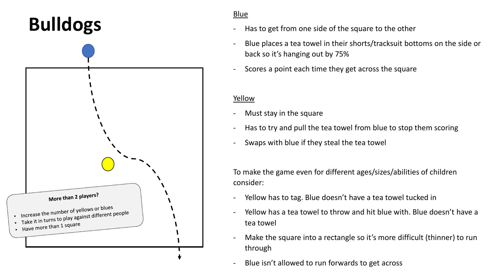# **Bulldogs**



### Blue

- Has to get from one side of the square to the other
- Blue places a tea towel in their shorts/tracksuit bottoms on the side or back so it's hanging out by 75%
- Scores a point each time they get across the square

### Yellow

- Must stay in the square
- Has to try and pull the tea towel from blue to stop them scoring
- Swaps with blue if they steal the tea towel

- Yellow has to tag. Blue doesn't have a tea towel tucked in
- Yellow has a tea towel to throw and hit blue with. Blue doesn't have a tea towel
- Make the square into a rectangle so it's more difficult (thinner) to run through
- Blue isn't allowed to run forwards to get across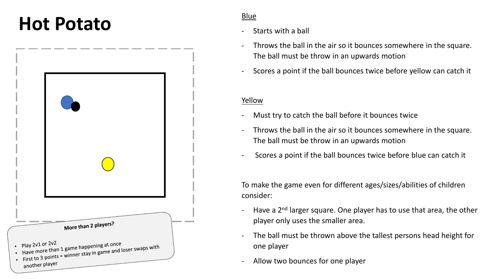### Hot Potato



- Starts with a ball
- Throws the ball in the air so it bounces somewhere in the square. The ball must be throw in an upwards motion
- Scores a point if the ball bounces twice before yellow can catch it

### Yellow

- Must try to catch the ball before it bounces twice
- Throws the ball in the air so it bounces somewhere in the square. The ball must be throw in an upwards motion
- Scores a point if the ball bounces twice before blue can catch it

- Have a  $2^{nd}$  larger square. One player has to use that area, the other player only uses the smaller area.
- The ball must be thrown above the tallest persons head height for one player
- Allow two bounces for one player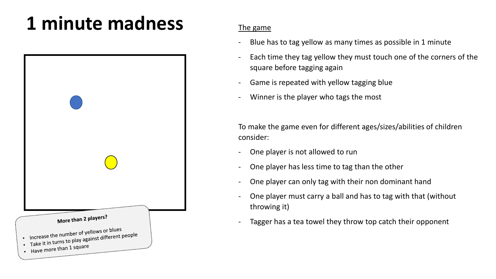# **1 minute madness** The game



- Blue has to tag yellow as many times as possible in 1 minute
- Each time they tag yellow they must touch one of the corners of the square before tagging again
- Game is repeated with yellow tagging blue
- Winner is the player who tags the most

- One player is not allowed to run
- One player has less time to tag than the other
- One player can only tag with their non dominant hand
- One player must carry a ball and has to tag with that (without throwing it)
- Tagger has a tea towel they throw top catch their opponent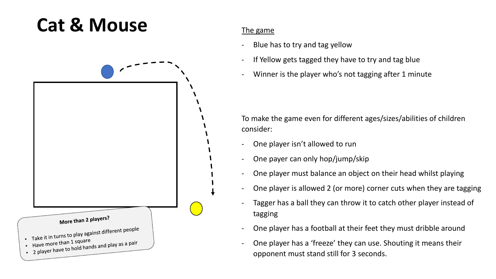### **Cat & Mouse** The game



- Blue has to try and tag yellow
- If Yellow gets tagged they have to try and tag blue
- Winner is the player who's not tagging after 1 minute

- One player isn't allowed to run
- One payer can only hop/jump/skip
- One player must balance an object on their head whilst playing
- One player is allowed 2 (or more) corner cuts when they are tagging
- Tagger has a ball they can throw it to catch other player instead of tagging
- One player has a football at their feet they must dribble around
- One player has a 'freeze' they can use. Shouting it means their opponent must stand still for 3 seconds.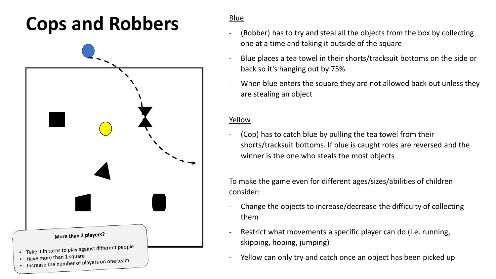## **Cops and Robbers** Blue

| More than 2 players?                                                                                                       |
|----------------------------------------------------------------------------------------------------------------------------|
| Take it in turns to play against different people<br>Have more than 1 square<br>Increase the number of players on one team |

- (Robber) has to try and steal all the objects from the box by collecting one at a time and taking it outside of the square
- Blue places a tea towel in their shorts/tracksuit bottoms on the side or back so it's hanging out by 75%
- When blue enters the square they are not allowed back out unless they are stealing an object

### Yellow

(Cop) has to catch blue by pulling the tea towel from their shorts/tracksuit bottoms. If blue is caught roles are reversed and the winner is the one who steals the most objects

- Change the objects to increase/decrease the difficulty of collecting them
- Restrict what movements a specific player can do (i.e. running, skipping, hoping, jumping)
- Yellow can only try and catch once an object has been picked up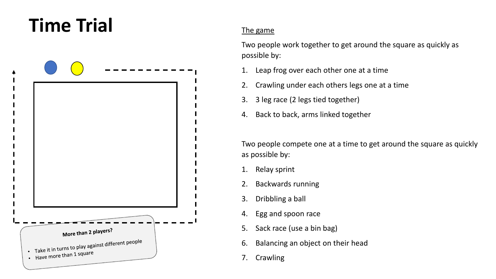## **Time Trial** The game



Two people work together to get around the square as quickly as possible by:

- 1. Leap frog over each other one at a time
- 2. Crawling under each others legs one at a time
- 3. 3 leg race (2 legs tied together)
- 4. Back to back, arms linked together

Two people compete one at a time to get around the square as quickly as possible by:

- 1. Relay sprint
- 2. Backwards running
- 3. Dribbling a ball
- 4. Egg and spoon race
- 5. Sack race (use a bin bag)
- 6. Balancing an object on their head
- 7. Crawling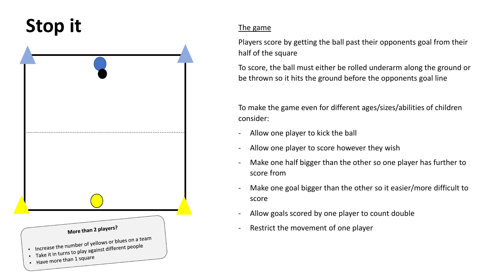## Stop it The game



Players score by getting the ball past their opponents goal from their half of the square

To score, the ball must either be rolled underarm along the ground or be thrown so it hits the ground before the opponents goal line

- Allow one player to kick the ball
- Allow one player to score however they wish
- Make one half bigger than the other so one player has further to score from
- Make one goal bigger than the other so it easier/more difficult to score
- Allow goals scored by one player to count double
- Restrict the movement of one player